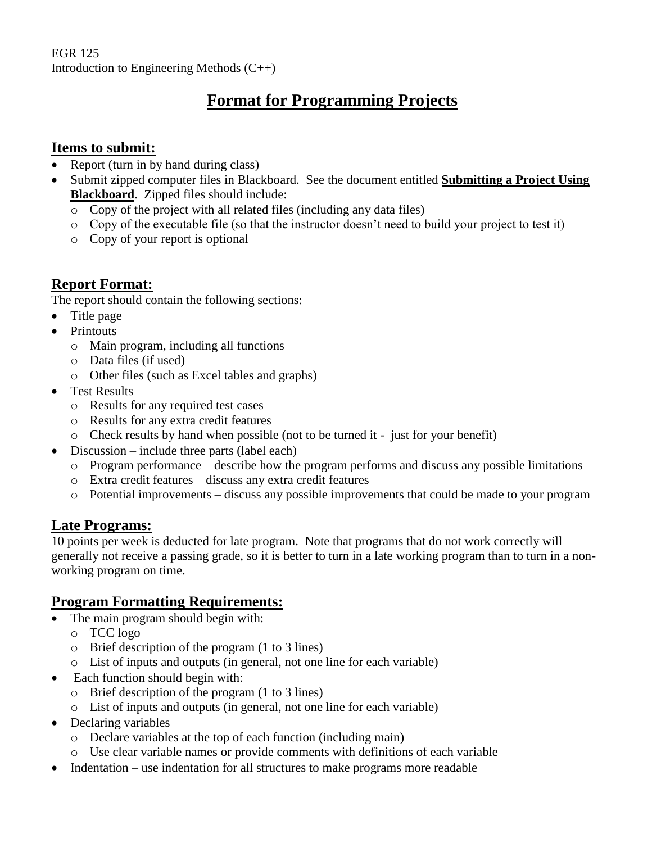EGR 125 Introduction to Engineering Methods (C++)

# **Format for Programming Projects**

#### **Items to submit:**

- Report (turn in by hand during class)
- Submit zipped computer files in Blackboard. See the document entitled **Submitting a Project Using Blackboard**. Zipped files should include:
	- o Copy of the project with all related files (including any data files)
	- $\circ$  Copy of the executable file (so that the instructor doesn't need to build your project to test it)
	- o Copy of your report is optional

### **Report Format:**

The report should contain the following sections:

- Title page
- Printouts
	- o Main program, including all functions
	- o Data files (if used)
	- o Other files (such as Excel tables and graphs)
- Test Results
	- o Results for any required test cases
	- o Results for any extra credit features
	- $\circ$  Check results by hand when possible (not to be turned it just for your benefit)
- Discussion include three parts (label each)
	- o Program performance describe how the program performs and discuss any possible limitations
	- o Extra credit features discuss any extra credit features
	- o Potential improvements discuss any possible improvements that could be made to your program

### **Late Programs:**

10 points per week is deducted for late program. Note that programs that do not work correctly will generally not receive a passing grade, so it is better to turn in a late working program than to turn in a nonworking program on time.

### **Program Formatting Requirements:**

- The main program should begin with:
	- o TCC logo
	- o Brief description of the program (1 to 3 lines)
	- o List of inputs and outputs (in general, not one line for each variable)
- Each function should begin with:
	- o Brief description of the program (1 to 3 lines)
	- o List of inputs and outputs (in general, not one line for each variable)
- Declaring variables
	- o Declare variables at the top of each function (including main)
	- o Use clear variable names or provide comments with definitions of each variable
- Indentation use indentation for all structures to make programs more readable